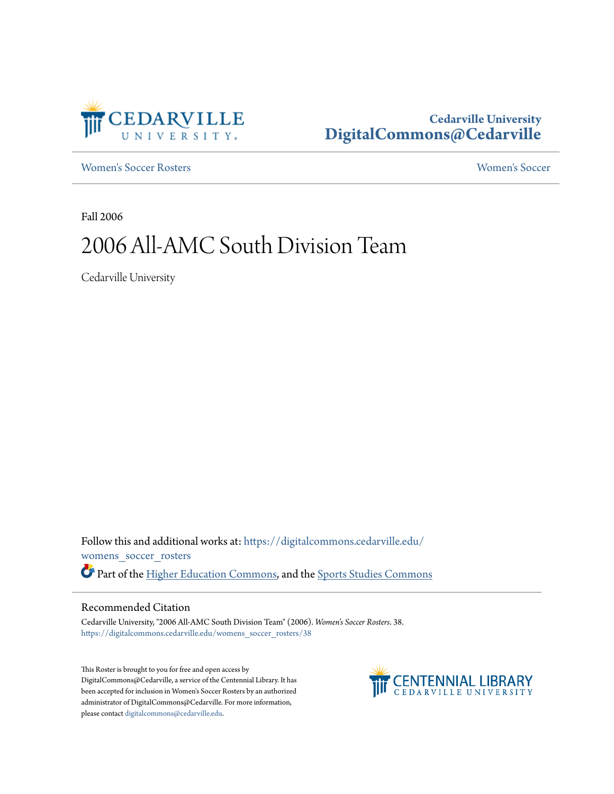

## **Cedarville University [DigitalCommons@Cedarville](https://digitalcommons.cedarville.edu?utm_source=digitalcommons.cedarville.edu%2Fwomens_soccer_rosters%2F38&utm_medium=PDF&utm_campaign=PDFCoverPages)**

[Women's Soccer Rosters](https://digitalcommons.cedarville.edu/womens_soccer_rosters?utm_source=digitalcommons.cedarville.edu%2Fwomens_soccer_rosters%2F38&utm_medium=PDF&utm_campaign=PDFCoverPages) [Women's Soccer](https://digitalcommons.cedarville.edu/womens_soccer?utm_source=digitalcommons.cedarville.edu%2Fwomens_soccer_rosters%2F38&utm_medium=PDF&utm_campaign=PDFCoverPages)

Fall 2006

## 2006 All-AMC South Division Team

Cedarville University

Follow this and additional works at: [https://digitalcommons.cedarville.edu/](https://digitalcommons.cedarville.edu/womens_soccer_rosters?utm_source=digitalcommons.cedarville.edu%2Fwomens_soccer_rosters%2F38&utm_medium=PDF&utm_campaign=PDFCoverPages) [womens\\_soccer\\_rosters](https://digitalcommons.cedarville.edu/womens_soccer_rosters?utm_source=digitalcommons.cedarville.edu%2Fwomens_soccer_rosters%2F38&utm_medium=PDF&utm_campaign=PDFCoverPages) Part of the [Higher Education Commons](http://network.bepress.com/hgg/discipline/1245?utm_source=digitalcommons.cedarville.edu%2Fwomens_soccer_rosters%2F38&utm_medium=PDF&utm_campaign=PDFCoverPages), and the [Sports Studies Commons](http://network.bepress.com/hgg/discipline/1198?utm_source=digitalcommons.cedarville.edu%2Fwomens_soccer_rosters%2F38&utm_medium=PDF&utm_campaign=PDFCoverPages)

## Recommended Citation

Cedarville University, "2006 All-AMC South Division Team" (2006). *Women's Soccer Rosters*. 38. [https://digitalcommons.cedarville.edu/womens\\_soccer\\_rosters/38](https://digitalcommons.cedarville.edu/womens_soccer_rosters/38?utm_source=digitalcommons.cedarville.edu%2Fwomens_soccer_rosters%2F38&utm_medium=PDF&utm_campaign=PDFCoverPages)

This Roster is brought to you for free and open access by DigitalCommons@Cedarville, a service of the Centennial Library. It has been accepted for inclusion in Women's Soccer Rosters by an authorized administrator of DigitalCommons@Cedarville. For more information, please contact [digitalcommons@cedarville.edu.](mailto:digitalcommons@cedarville.edu)